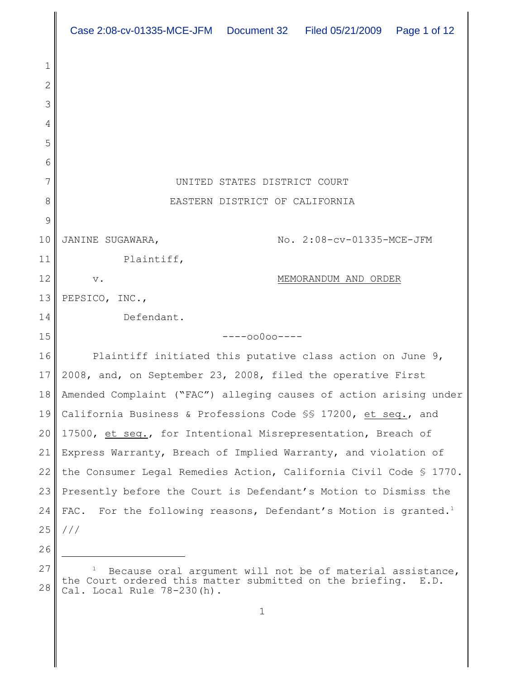|    | Case 2:08-cv-01335-MCE-JFM  Document 32  Filed 05/21/2009  Page 1 of 12        |
|----|--------------------------------------------------------------------------------|
| 1  |                                                                                |
| 2  |                                                                                |
| 3  |                                                                                |
| 4  |                                                                                |
| 5  |                                                                                |
| 6  |                                                                                |
| 7  | UNITED STATES DISTRICT COURT                                                   |
| 8  | EASTERN DISTRICT OF CALIFORNIA                                                 |
| 9  |                                                                                |
| 10 | No. 2:08-cv-01335-MCE-JFM<br>JANINE SUGAWARA,                                  |
| 11 | Plaintiff,                                                                     |
| 12 | MEMORANDUM AND ORDER<br>$\mathbf v$ .                                          |
| 13 | PEPSICO, INC.,                                                                 |
| 14 | Defendant.                                                                     |
| 15 | $---00000---$                                                                  |
| 16 | Plaintiff initiated this putative class action on June 9,                      |
| 17 | 2008, and, on September 23, 2008, filed the operative First                    |
| 18 | Amended Complaint ("FAC") alleging causes of action arising under              |
| 19 | California Business & Professions Code SS 17200, et seq., and                  |
| 20 | 17500, et seq., for Intentional Misrepresentation, Breach of                   |
| 21 | Express Warranty, Breach of Implied Warranty, and violation of                 |
| 22 | the Consumer Legal Remedies Action, California Civil Code $\$$ 1770.           |
| 23 | Presently before the Court is Defendant's Motion to Dismiss the                |
| 24 | For the following reasons, Defendant's Motion is granted. <sup>1</sup><br>FAC. |
| 25 | ///                                                                            |
| 26 |                                                                                |
| 27 | Because oral argument will not be of material assistance.                      |

<sup>28</sup>  $1$  Because oral argument will not be of material assistance, the Court ordered this matter submitted on the briefing. E.D. Cal. Local Rule 78-230(h).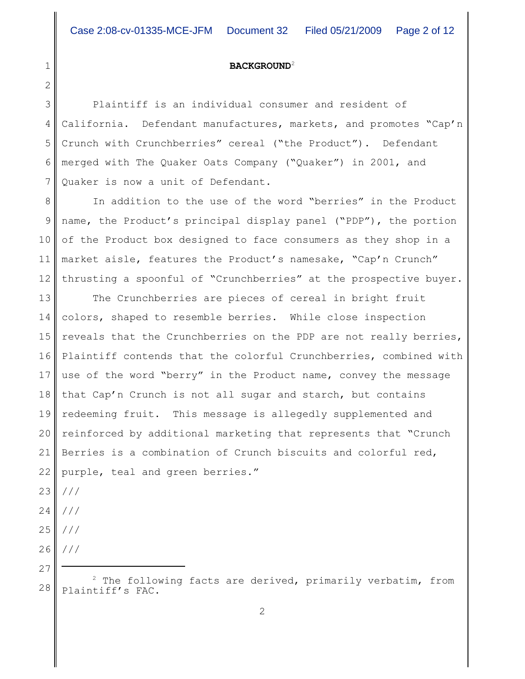# **BACKGROUND**<sup>2</sup>

3 4 5 6 7 Plaintiff is an individual consumer and resident of California. Defendant manufactures, markets, and promotes "Cap'n Crunch with Crunchberries" cereal ("the Product"). Defendant merged with The Quaker Oats Company ("Quaker") in 2001, and Quaker is now a unit of Defendant.

8 9 10 11 12 In addition to the use of the word "berries" in the Product name, the Product's principal display panel ("PDP"), the portion of the Product box designed to face consumers as they shop in a market aisle, features the Product's namesake, "Cap'n Crunch" thrusting a spoonful of "Crunchberries" at the prospective buyer.

13 14 15 16 17 18 19 20 21 22 The Crunchberries are pieces of cereal in bright fruit colors, shaped to resemble berries. While close inspection reveals that the Crunchberries on the PDP are not really berries, Plaintiff contends that the colorful Crunchberries, combined with use of the word "berry" in the Product name, convey the message that Cap'n Crunch is not all sugar and starch, but contains redeeming fruit. This message is allegedly supplemented and reinforced by additional marketing that represents that "Crunch Berries is a combination of Crunch biscuits and colorful red, purple, teal and green berries."

23 ///

1

- 24 ///
- 25 ///
- 26 ///
- 27

<sup>28</sup>  $2$  The following facts are derived, primarily verbatim, from Plaintiff's FAC.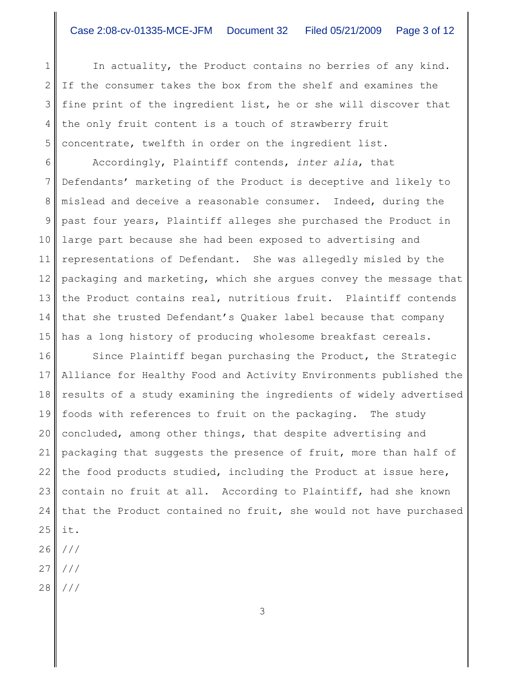In actuality, the Product contains no berries of any kind. If the consumer takes the box from the shelf and examines the fine print of the ingredient list, he or she will discover that the only fruit content is a touch of strawberry fruit concentrate, twelfth in order on the ingredient list.

6 7 8 9 10 11 12 13 14 15 Accordingly, Plaintiff contends, *inter alia*, that Defendants' marketing of the Product is deceptive and likely to mislead and deceive a reasonable consumer. Indeed, during the past four years, Plaintiff alleges she purchased the Product in large part because she had been exposed to advertising and representations of Defendant. She was allegedly misled by the packaging and marketing, which she argues convey the message that the Product contains real, nutritious fruit. Plaintiff contends that she trusted Defendant's Quaker label because that company has a long history of producing wholesome breakfast cereals.

16 17 18 19 20 21 22 23 24 25 Since Plaintiff began purchasing the Product, the Strategic Alliance for Healthy Food and Activity Environments published the results of a study examining the ingredients of widely advertised foods with references to fruit on the packaging. The study concluded, among other things, that despite advertising and packaging that suggests the presence of fruit, more than half of the food products studied, including the Product at issue here, contain no fruit at all. According to Plaintiff, had she known that the Product contained no fruit, she would not have purchased it.

26 ///

1

2

3

4

- 27 ///
- 28 ///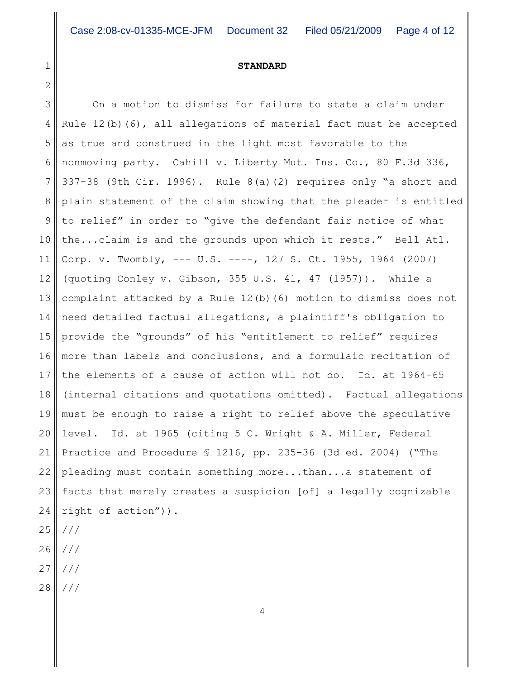### **STANDARD**

3 4 5 6 7 8 9 10 11 12 13 14 15 16 17 18 19 20 21 22 23 24 25 26 On a motion to dismiss for failure to state a claim under Rule  $12(b)$  (6), all allegations of material fact must be accepted as true and construed in the light most favorable to the nonmoving party. Cahill v. Liberty Mut. Ins. Co., 80 F.3d 336, 337-38 (9th Cir. 1996). Rule 8(a)(2) requires only "a short and plain statement of the claim showing that the pleader is entitled to relief" in order to "give the defendant fair notice of what the...claim is and the grounds upon which it rests." Bell Atl. Corp. v. Twombly, --- U.S. ----, 127 S. Ct. 1955, 1964 (2007) (quoting Conley v. Gibson, 355 U.S. 41, 47 (1957)). While a complaint attacked by a Rule 12(b)(6) motion to dismiss does not need detailed factual allegations, a plaintiff's obligation to provide the "grounds" of his "entitlement to relief" requires more than labels and conclusions, and a formulaic recitation of the elements of a cause of action will not do. Id. at 1964-65 (internal citations and quotations omitted). Factual allegations must be enough to raise a right to relief above the speculative level. Id. at 1965 (citing 5 C. Wright & A. Miller, Federal Practice and Procedure § 1216, pp. 235-36 (3d ed. 2004) ("The pleading must contain something more...than...a statement of facts that merely creates a suspicion [of] a legally cognizable right of action")). /// ///

27 ///

1

2

28 ///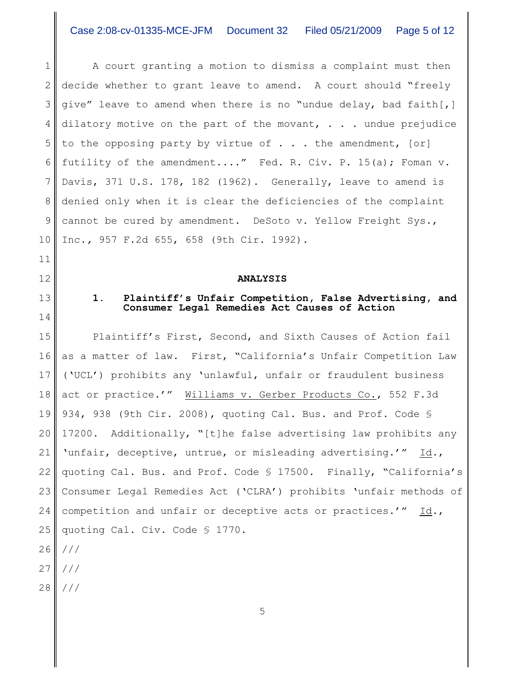1 2 3 4 5 6 7 8 9 10 A court granting a motion to dismiss a complaint must then decide whether to grant leave to amend. A court should "freely give" leave to amend when there is no "undue delay, bad faith[,] dilatory motive on the part of the movant,  $\ldots$  . undue prejudice to the opposing party by virtue of  $\ldots$  the amendment,  $[or]$ futility of the amendment...." Fed. R. Civ. P. 15(a); Foman v. Davis, 371 U.S. 178, 182 (1962). Generally, leave to amend is denied only when it is clear the deficiencies of the complaint cannot be cured by amendment. DeSoto v. Yellow Freight Sys., Inc.*,* 957 F.2d 655, 658 (9th Cir. 1992).

### **ANALYSIS**

# **1. Plaintiff's Unfair Competition, False Advertising, and Consumer Legal Remedies Act Causes of Action**

15 16 17 18 19 20 21 22 23 24 25 26 27 Plaintiff's First, Second, and Sixth Causes of Action fail as a matter of law. First, "California's Unfair Competition Law ('UCL') prohibits any 'unlawful, unfair or fraudulent business act or practice.'" Williams v. Gerber Products Co., 552 F.3d 934, 938 (9th Cir. 2008), quoting Cal. Bus. and Prof. Code § 17200. Additionally, "[t]he false advertising law prohibits any 'unfair, deceptive, untrue, or misleading advertising.'" Id., quoting Cal. Bus. and Prof. Code § 17500. Finally, "California's Consumer Legal Remedies Act ('CLRA') prohibits 'unfair methods of competition and unfair or deceptive acts or practices.'" Id., quoting Cal. Civ. Code § 1770. /// ///

28 ///

11

12

13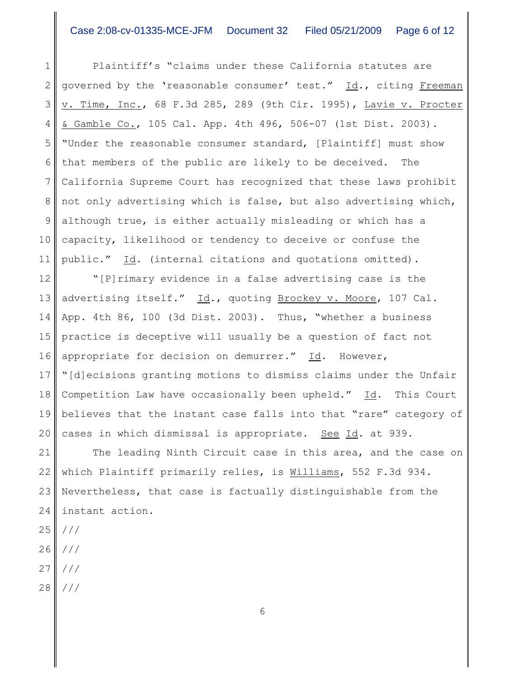1 2 3 4 5 6 7 8 9 10 11 Plaintiff's "claims under these California statutes are governed by the 'reasonable consumer' test." Id., citing Freeman v. Time, Inc., 68 F.3d 285, 289 (9th Cir. 1995), Lavie v. Procter & Gamble Co., 105 Cal. App. 4th 496, 506-07 (1st Dist. 2003). "Under the reasonable consumer standard, [Plaintiff] must show that members of the public are likely to be deceived. The California Supreme Court has recognized that these laws prohibit not only advertising which is false, but also advertising which, although true, is either actually misleading or which has a capacity, likelihood or tendency to deceive or confuse the public." Id. (internal citations and quotations omitted).

12 13 14 15 16 17 18 19 20 "[P]rimary evidence in a false advertising case is the advertising itself." Id., quoting Brockey v. Moore, 107 Cal. App. 4th 86, 100 (3d Dist. 2003). Thus, "whether a business practice is deceptive will usually be a question of fact not appropriate for decision on demurrer." Id. However, "[d]ecisions granting motions to dismiss claims under the Unfair Competition Law have occasionally been upheld." Id. This Court believes that the instant case falls into that "rare" category of cases in which dismissal is appropriate. See Id. at 939.

21 22 23 24 The leading Ninth Circuit case in this area, and the case on which Plaintiff primarily relies, is Williams, 552 F.3d 934. Nevertheless, that case is factually distinguishable from the instant action.

- 25 ///
- 26 ///
- 27 ///
- 28 ///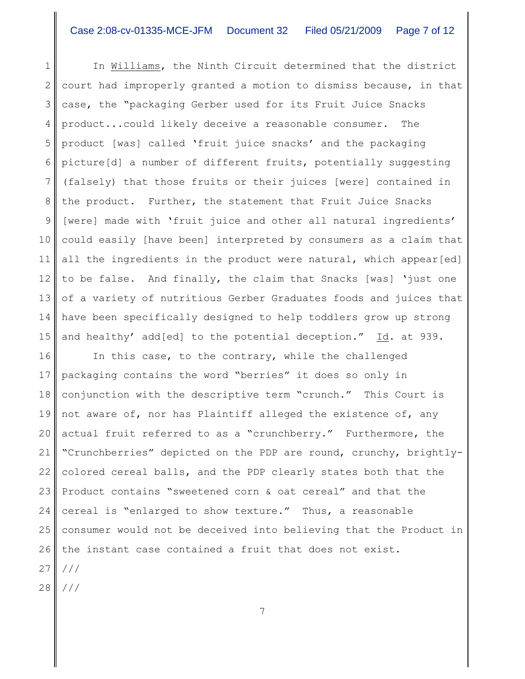1 2 3 4 5 6 7 8 9 10 11 12 13 14 15 In Williams, the Ninth Circuit determined that the district court had improperly granted a motion to dismiss because, in that case, the "packaging Gerber used for its Fruit Juice Snacks product...could likely deceive a reasonable consumer. The product [was] called 'fruit juice snacks' and the packaging picture[d] a number of different fruits, potentially suggesting (falsely) that those fruits or their juices [were] contained in the product. Further, the statement that Fruit Juice Snacks [were] made with 'fruit juice and other all natural ingredients' could easily [have been] interpreted by consumers as a claim that all the ingredients in the product were natural, which appear[ed] to be false. And finally, the claim that Snacks [was] 'just one of a variety of nutritious Gerber Graduates foods and juices that have been specifically designed to help toddlers grow up strong and healthy' add[ed] to the potential deception." Id. at 939.

16 17 18 19 20 21 22 23 24 25 26 27 In this case, to the contrary, while the challenged packaging contains the word "berries" it does so only in conjunction with the descriptive term "crunch." This Court is not aware of, nor has Plaintiff alleged the existence of, any actual fruit referred to as a "crunchberry." Furthermore, the "Crunchberries" depicted on the PDP are round, crunchy, brightlycolored cereal balls, and the PDP clearly states both that the Product contains "sweetened corn & oat cereal" and that the cereal is "enlarged to show texture." Thus, a reasonable consumer would not be deceived into believing that the Product in the instant case contained a fruit that does not exist. ///

7

28 ///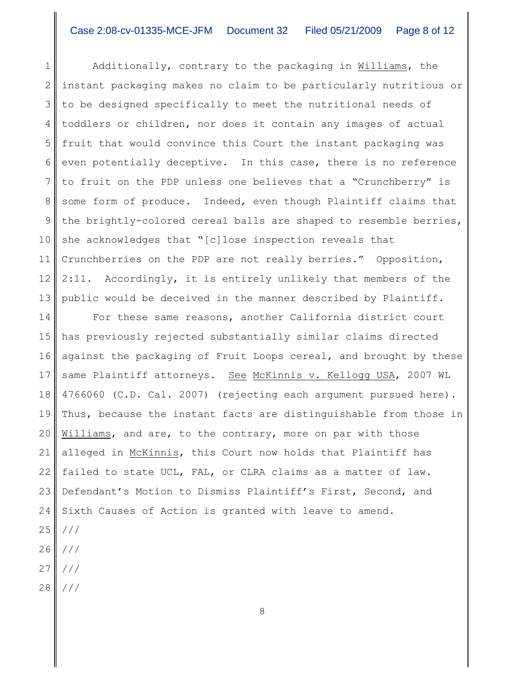1 2 3 4 5 6 7 8 9 10 11 12 13 Additionally, contrary to the packaging in Williams, the instant packaging makes no claim to be particularly nutritious or to be designed specifically to meet the nutritional needs of toddlers or children, nor does it contain any images of actual fruit that would convince this Court the instant packaging was even potentially deceptive. In this case, there is no reference to fruit on the PDP unless one believes that a "Crunchberry" is some form of produce. Indeed, even though Plaintiff claims that the brightly-colored cereal balls are shaped to resemble berries, she acknowledges that "[c]lose inspection reveals that Crunchberries on the PDP are not really berries." Opposition, 2:11. Accordingly, it is entirely unlikely that members of the public would be deceived in the manner described by Plaintiff.

14 15 16 17 18 19 20 21 22 23 24 For these same reasons, another California district court has previously rejected substantially similar claims directed against the packaging of Fruit Loops cereal, and brought by these same Plaintiff attorneys. See McKinnis v. Kellogg USA, 2007 WL 4766060 (C.D. Cal. 2007) (rejecting each argument pursued here). Thus, because the instant facts are distinguishable from those in Williams, and are, to the contrary, more on par with those alleged in McKinnis, this Court now holds that Plaintiff has failed to state UCL, FAL, or CLRA claims as a matter of law. Defendant's Motion to Dismiss Plaintiff's First, Second, and Sixth Causes of Action is granted with leave to amend.

- 25 ///
- 26 ///
- 27 ///
- 28 ///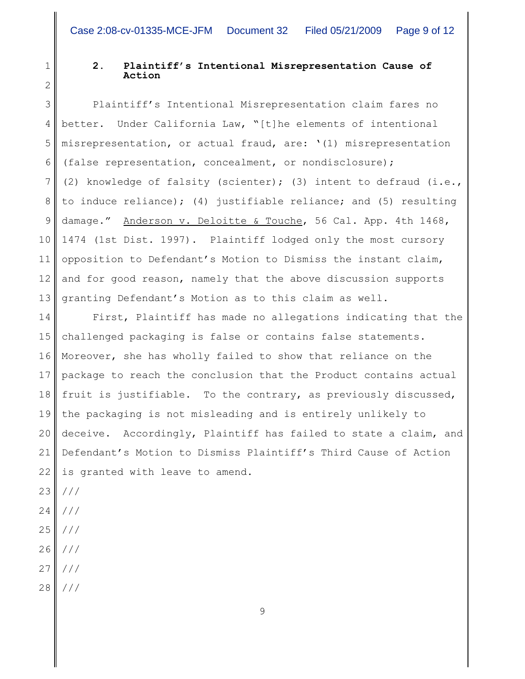1

2

# **2. Plaintiff's Intentional Misrepresentation Cause of Action**

3 4 5 6 7 8 9 10 11 12 13 Plaintiff's Intentional Misrepresentation claim fares no better. Under California Law, "[t]he elements of intentional misrepresentation, or actual fraud, are: '(1) misrepresentation (false representation, concealment, or nondisclosure); (2) knowledge of falsity (scienter); (3) intent to defraud (i.e., to induce reliance); (4) justifiable reliance; and (5) resulting damage." Anderson v. Deloitte & Touche, 56 Cal. App. 4th 1468, 1474 (1st Dist. 1997). Plaintiff lodged only the most cursory opposition to Defendant's Motion to Dismiss the instant claim, and for good reason, namely that the above discussion supports granting Defendant's Motion as to this claim as well.

14 15 16 17 18 19 20 21 22 First, Plaintiff has made no allegations indicating that the challenged packaging is false or contains false statements. Moreover, she has wholly failed to show that reliance on the package to reach the conclusion that the Product contains actual fruit is justifiable. To the contrary, as previously discussed, the packaging is not misleading and is entirely unlikely to deceive. Accordingly, Plaintiff has failed to state a claim, and Defendant's Motion to Dismiss Plaintiff's Third Cause of Action is granted with leave to amend.

- 23 ///
- 24 ///
- 25 ///
- 26 ///
- 27 ///
- 28 ///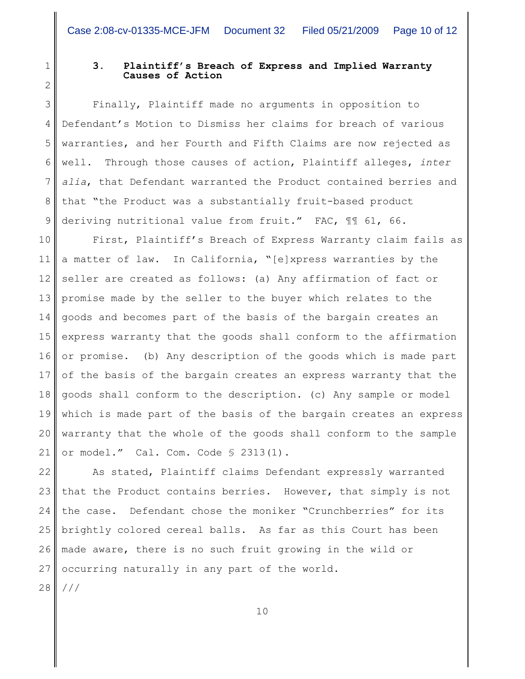```
1
2
3
```
4

7

8

9

# **3. Plaintiff's Breach of Express and Implied Warranty Causes of Action**

5 6 Finally, Plaintiff made no arguments in opposition to Defendant's Motion to Dismiss her claims for breach of various warranties, and her Fourth and Fifth Claims are now rejected as well. Through those causes of action, Plaintiff alleges, *inter alia*, that Defendant warranted the Product contained berries and that "the Product was a substantially fruit-based product deriving nutritional value from fruit." FAC, ¶¶ 61, 66.

10 11 12 13 14 15 16 17 18 19 20 21 First, Plaintiff's Breach of Express Warranty claim fails as a matter of law. In California, "[e]xpress warranties by the seller are created as follows: (a) Any affirmation of fact or promise made by the seller to the buyer which relates to the goods and becomes part of the basis of the bargain creates an express warranty that the goods shall conform to the affirmation or promise. (b) Any description of the goods which is made part of the basis of the bargain creates an express warranty that the goods shall conform to the description. (c) Any sample or model which is made part of the basis of the bargain creates an express warranty that the whole of the goods shall conform to the sample or model." Cal. Com. Code § 2313(1).

22 23 24 25 26 27 As stated, Plaintiff claims Defendant expressly warranted that the Product contains berries. However, that simply is not the case. Defendant chose the moniker "Crunchberries" for its brightly colored cereal balls. As far as this Court has been made aware, there is no such fruit growing in the wild or occurring naturally in any part of the world.

28 ///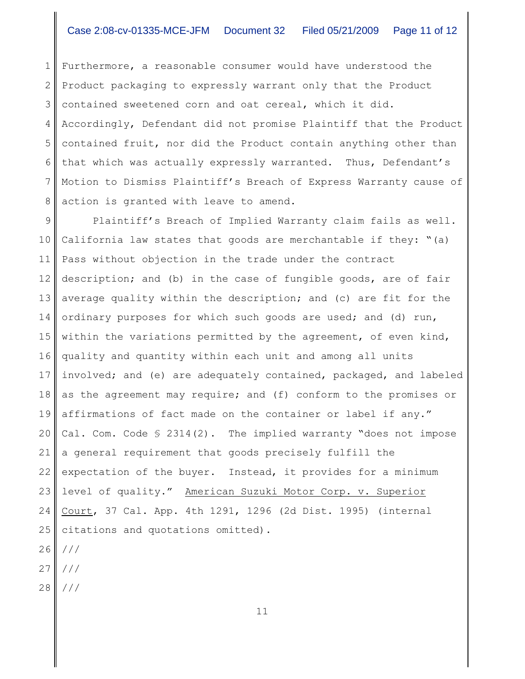1 2 3 4 5 6 7 8 Furthermore, a reasonable consumer would have understood the Product packaging to expressly warrant only that the Product contained sweetened corn and oat cereal, which it did. Accordingly, Defendant did not promise Plaintiff that the Product contained fruit, nor did the Product contain anything other than that which was actually expressly warranted. Thus, Defendant's Motion to Dismiss Plaintiff's Breach of Express Warranty cause of action is granted with leave to amend.

9 10 11 12 13 14 15 16 17 18 19 20 21 22 23 24 25 Plaintiff's Breach of Implied Warranty claim fails as well. California law states that goods are merchantable if they: "(a) Pass without objection in the trade under the contract description; and (b) in the case of fungible goods, are of fair average quality within the description; and (c) are fit for the ordinary purposes for which such goods are used; and (d) run, within the variations permitted by the agreement, of even kind, quality and quantity within each unit and among all units involved; and (e) are adequately contained, packaged, and labeled as the agreement may require; and (f) conform to the promises or affirmations of fact made on the container or label if any." Cal. Com. Code § 2314(2). The implied warranty "does not impose a general requirement that goods precisely fulfill the expectation of the buyer. Instead, it provides for a minimum level of quality." American Suzuki Motor Corp. v. Superior Court, 37 Cal. App. 4th 1291, 1296 (2d Dist. 1995) (internal citations and quotations omitted).

- 26 ///
- 27 ///
- 28 ///